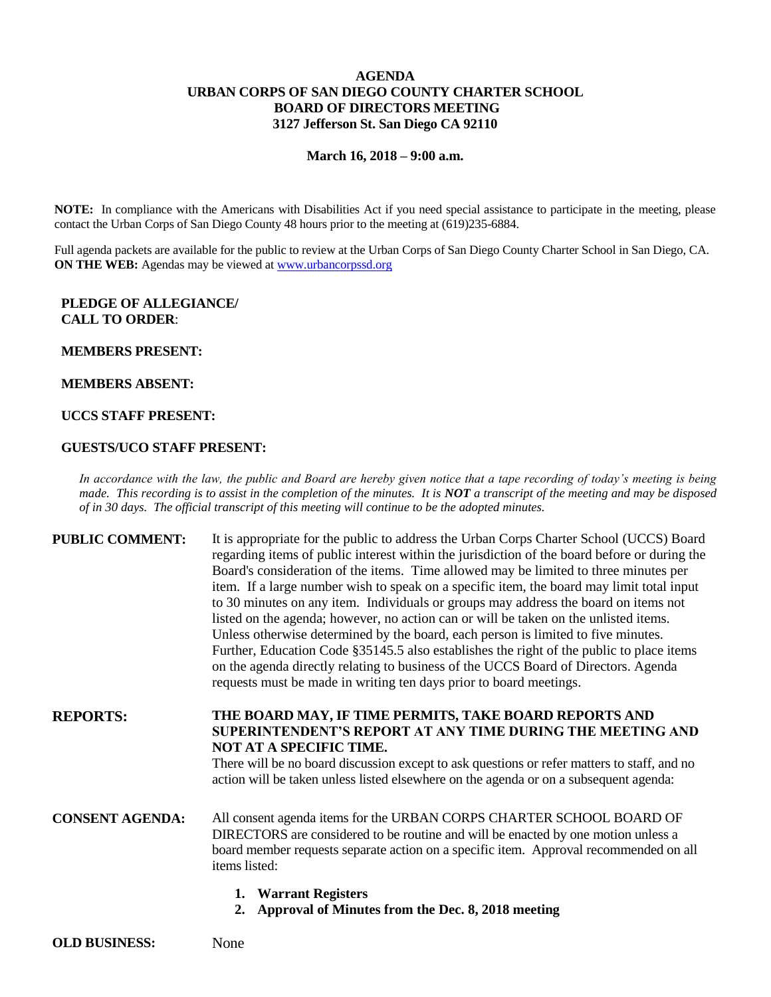## **AGENDA URBAN CORPS OF SAN DIEGO COUNTY CHARTER SCHOOL BOARD OF DIRECTORS MEETING 3127 Jefferson St. San Diego CA 92110**

#### **March 16, 2018 – 9:00 a.m.**

**NOTE:** In compliance with the Americans with Disabilities Act if you need special assistance to participate in the meeting, please contact the Urban Corps of San Diego County 48 hours prior to the meeting at (619)235-6884.

Full agenda packets are available for the public to review at the Urban Corps of San Diego County Charter School in San Diego, CA. **ON THE WEB:** Agendas may be viewed at [www.urbancorpssd.org](http://www.urbancorpssd.org/)

### **PLEDGE OF ALLEGIANCE/ CALL TO ORDER**:

#### **MEMBERS PRESENT:**

#### **MEMBERS ABSENT:**

### **UCCS STAFF PRESENT:**

#### **GUESTS/UCO STAFF PRESENT:**

*In accordance with the law, the public and Board are hereby given notice that a tape recording of today's meeting is being made. This recording is to assist in the completion of the minutes. It is NOT a transcript of the meeting and may be disposed of in 30 days. The official transcript of this meeting will continue to be the adopted minutes.*

## **PUBLIC COMMENT:** It is appropriate for the public to address the Urban Corps Charter School (UCCS) Board regarding items of public interest within the jurisdiction of the board before or during the Board's consideration of the items. Time allowed may be limited to three minutes per item. If a large number wish to speak on a specific item, the board may limit total input to 30 minutes on any item. Individuals or groups may address the board on items not listed on the agenda; however, no action can or will be taken on the unlisted items. Unless otherwise determined by the board, each person is limited to five minutes. Further, Education Code §35145.5 also establishes the right of the public to place items on the agenda directly relating to business of the UCCS Board of Directors. Agenda requests must be made in writing ten days prior to board meetings.

**REPORTS: THE BOARD MAY, IF TIME PERMITS, TAKE BOARD REPORTS AND SUPERINTENDENT'S REPORT AT ANY TIME DURING THE MEETING AND NOT AT A SPECIFIC TIME.**

> There will be no board discussion except to ask questions or refer matters to staff, and no action will be taken unless listed elsewhere on the agenda or on a subsequent agenda:

## **CONSENT AGENDA:** All consent agenda items for the URBAN CORPS CHARTER SCHOOL BOARD OF DIRECTORS are considered to be routine and will be enacted by one motion unless a board member requests separate action on a specific item. Approval recommended on all items listed:

- **1. Warrant Registers**
- **2. Approval of Minutes from the Dec. 8, 2018 meeting**